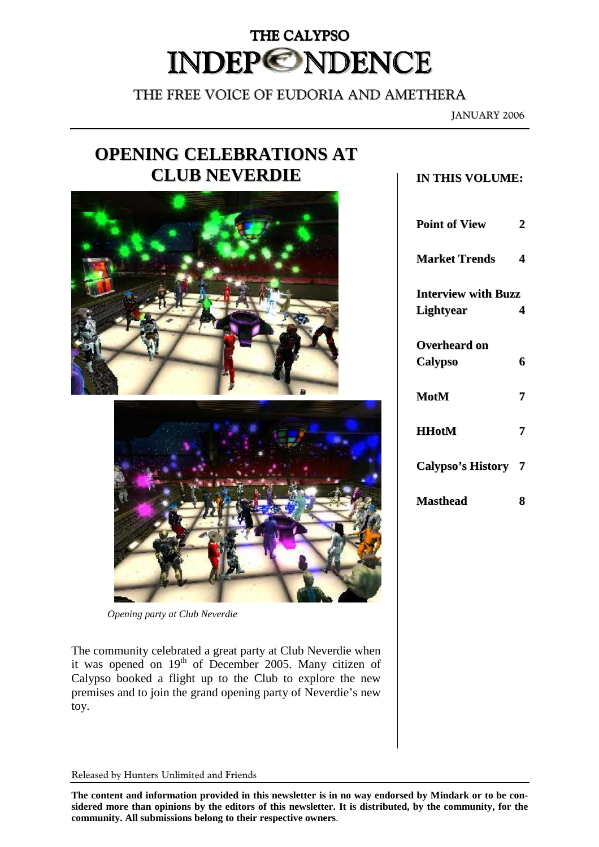# THE CALYPSO INDEP©NDENCE

THE FREE VOICE OF EUDORIA AND AMETHERA

JANUARY 2006

**IN THIS VOLUME:**

# **OPENING CELEBRATIONS AT CLUB NEVERDIE**



| <b>Point of View</b>                    | 2 |
|-----------------------------------------|---|
| <b>Market Trends</b>                    | 4 |
| <b>Interview with Buzz</b><br>Lightyear | 4 |
| Overheard on<br><b>Calypso</b>          | 6 |
| <b>MotM</b>                             | 7 |
| <b>HHotM</b>                            | 7 |
| Calypso's History                       | 7 |
| <b>Masthead</b>                         | x |

 *Opening party at Club Neverdie* 

The community celebrated a great party at Club Neverdie when it was opened on  $19<sup>th</sup>$  of December 2005. Many citizen of Calypso booked a flight up to the Club to explore the new premises and to join the grand opening party of Neverdie's new toy.

#### Released by Hunters Unlimited and Friends

**The content and information provided in this newsletter is in no way endorsed by Mindark or to be considered more than opinions by the editors of this newsletter. It is distributed, by the community, for the community. All submissions belong to their respective owners**.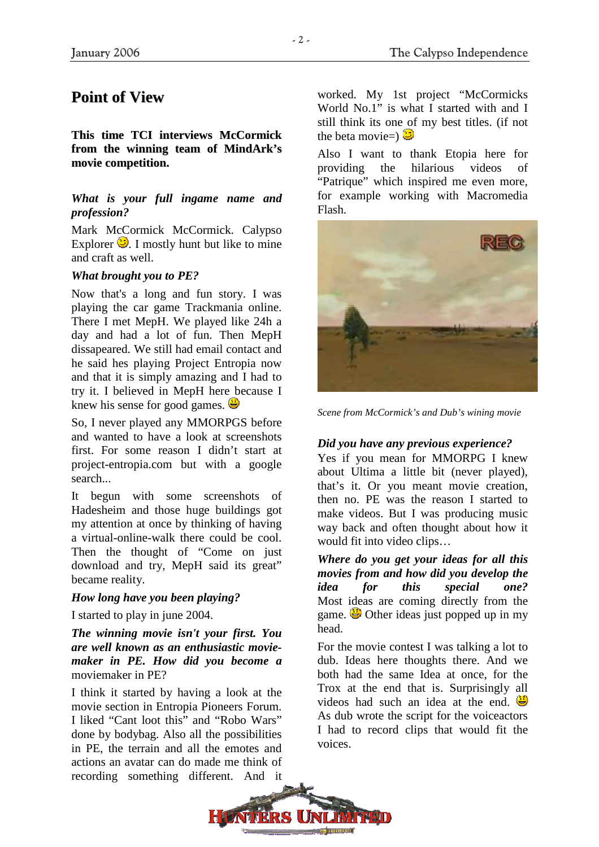# **Point of View**

#### **This time TCI interviews McCormick from the winning team of MindArk's movie competition.**

#### *What is your full ingame name and profession?*

Mark McCormick McCormick. Calypso Explorer  $\ddot{\mathbf{C}}$ . I mostly hunt but like to mine and craft as well.

#### *What brought you to PE?*

Now that's a long and fun story. I was playing the car game Trackmania online. There I met MepH. We played like 24h a day and had a lot of fun. Then MepH dissapeared. We still had email contact and he said hes playing Project Entropia now and that it is simply amazing and I had to try it. I believed in MepH here because I knew his sense for good games.  $\bigcirc$ 

So, I never played any MMORPGS before and wanted to have a look at screenshots first. For some reason I didn't start at project-entropia.com but with a google search...

It begun with some screenshots of Hadesheim and those huge buildings got my attention at once by thinking of having a virtual-online-walk there could be cool. Then the thought of "Come on just download and try, MepH said its great" became reality.

#### *How long have you been playing?*

I started to play in june 2004.

*The winning movie isn't your first. You are well known as an enthusiastic moviemaker in PE. How did you become a*  moviemaker in PE?

I think it started by having a look at the movie section in Entropia Pioneers Forum. I liked "Cant loot this" and "Robo Wars" done by bodybag. Also all the possibilities in PE, the terrain and all the emotes and actions an avatar can do made me think of recording something different. And it

worked. My 1st project "McCormicks World No.1" is what I started with and I still think its one of my best titles. (if not the beta movie=)

Also I want to thank Etopia here for providing the hilarious videos of "Patrique" which inspired me even more, for example working with Macromedia Flash.



*Scene from McCormick's and Dub's wining movie* 

#### *Did you have any previous experience?*

Yes if you mean for MMORPG I knew about Ultima a little bit (never played), that's it. Or you meant movie creation, then no. PE was the reason I started to make videos. But I was producing music way back and often thought about how it would fit into video clips…

*Where do you get your ideas for all this movies from and how did you develop the idea for this special one?*  Most ideas are coming directly from the game.  $\bigcirc$  Other ideas just popped up in my head.

For the movie contest I was talking a lot to dub. Ideas here thoughts there. And we both had the same Idea at once, for the Trox at the end that is. Surprisingly all videos had such an idea at the end.  $\ddot{\mathbf{\Theta}}$ As dub wrote the script for the voiceactors I had to record clips that would fit the voices.

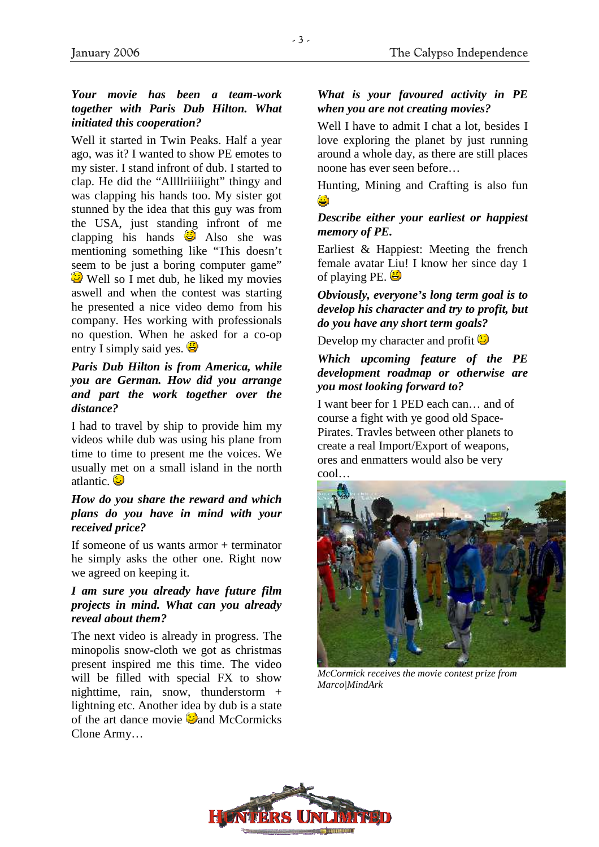#### *Your movie has been a team-work together with Paris Dub Hilton. What initiated this cooperation?*

Well it started in Twin Peaks. Half a year ago, was it? I wanted to show PE emotes to my sister. I stand infront of dub. I started to clap. He did the "Allllriiiiight" thingy and was clapping his hands too. My sister got stunned by the idea that this guy was from the USA, just standing infront of me clapping his hands  $\ddot{\bullet}$  Also she was mentioning something like "This doesn't seem to be just a boring computer game" **Well so I met dub, he liked my movies** aswell and when the contest was starting he presented a nice video demo from his company. Hes working with professionals no question. When he asked for a co-op entry I simply said yes.  $\bigcirc$ 

#### *Paris Dub Hilton is from America, while you are German. How did you arrange and part the work together over the distance?*

I had to travel by ship to provide him my videos while dub was using his plane from time to time to present me the voices. We usually met on a small island in the north atlantic.  $\bigcirc$ 

#### *How do you share the reward and which plans do you have in mind with your received price?*

If someone of us wants armor + terminator he simply asks the other one. Right now we agreed on keeping it.

#### *I am sure you already have future film projects in mind. What can you already reveal about them?*

The next video is already in progress. The minopolis snow-cloth we got as christmas present inspired me this time. The video will be filled with special FX to show nighttime, rain, snow, thunderstorm + lightning etc. Another idea by dub is a state of the art dance movie  $\Box$  and McCormicks Clone Army…

#### *What is your favoured activity in PE when you are not creating movies?*

Well I have to admit I chat a lot, besides I love exploring the planet by just running around a whole day, as there are still places noone has ever seen before…

Hunting, Mining and Crafting is also fun  $\left( \begin{array}{c} \bullet \\ \bullet \end{array} \right)$ 

#### *Describe either your earliest or happiest memory of PE.*

Earliest & Happiest: Meeting the french female avatar Liu! I know her since day 1 of playing PE.

#### *Obviously, everyone's long term goal is to develop his character and try to profit, but do you have any short term goals?*

Develop my character and profit  $\bigcirc$ 

#### *Which upcoming feature of the PE development roadmap or otherwise are you most looking forward to?*

I want beer for 1 PED each can… and of course a fight with ye good old Space-Pirates. Travles between other planets to create a real Import/Export of weapons, ores and enmatters would also be very cool…



*McCormick receives the movie contest prize from Marco|MindArk*

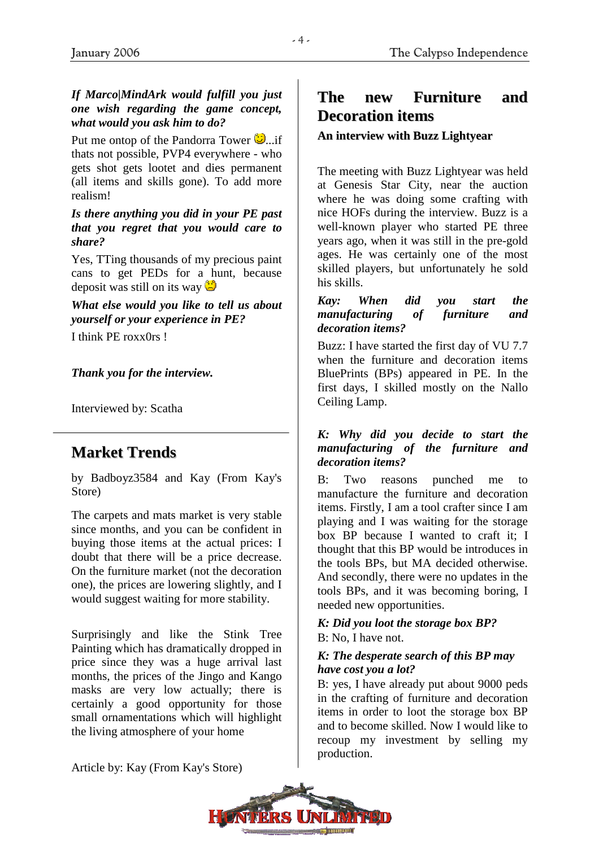#### *If Marco|MindArk would fulfill you just one wish regarding the game concept, what would you ask him to do?*

Put me ontop of the Pandorra Tower  $\bigcirc$ ...if thats not possible, PVP4 everywhere - who gets shot gets lootet and dies permanent (all items and skills gone). To add more realism!

#### *Is there anything you did in your PE past that you regret that you would care to share?*

Yes, TTing thousands of my precious paint cans to get PEDs for a hunt, because deposit was still on its way  $\ddot{\mathbf{a}}$ 

#### *What else would you like to tell us about yourself or your experience in PE?*

I think PE roxx0rs !

#### *Thank you for the interview.*

Interviewed by: Scatha

# **Market Trends**

by Badboyz3584 and Kay (From Kay's Store)

The carpets and mats market is very stable since months, and you can be confident in buying those items at the actual prices: I doubt that there will be a price decrease. On the furniture market (not the decoration one), the prices are lowering slightly, and I would suggest waiting for more stability.

Surprisingly and like the Stink Tree Painting which has dramatically dropped in price since they was a huge arrival last months, the prices of the Jingo and Kango masks are very low actually; there is certainly a good opportunity for those small ornamentations which will highlight the living atmosphere of your home

### **The new Furniture and Decoration items**

#### **An interview with Buzz Lightyear**

The meeting with Buzz Lightyear was held at Genesis Star City, near the auction where he was doing some crafting with nice HOFs during the interview. Buzz is a well-known player who started PE three years ago, when it was still in the pre-gold ages. He was certainly one of the most skilled players, but unfortunately he sold his skills.

#### *Kay: When did you start the manufacturing of furniture and decoration items?*

Buzz: I have started the first day of VU 7.7 when the furniture and decoration items BluePrints (BPs) appeared in PE. In the first days, I skilled mostly on the Nallo Ceiling Lamp.

#### *K: Why did you decide to start the manufacturing of the furniture and decoration items?*

B: Two reasons punched me to manufacture the furniture and decoration items. Firstly, I am a tool crafter since I am playing and I was waiting for the storage box BP because I wanted to craft it; I thought that this BP would be introduces in the tools BPs, but MA decided otherwise. And secondly, there were no updates in the tools BPs, and it was becoming boring, I needed new opportunities.

#### *K: Did you loot the storage box BP?*  B: No, I have not.

#### *K: The desperate search of this BP may have cost you a lot?*

B: yes, I have already put about 9000 peds in the crafting of furniture and decoration items in order to loot the storage box BP and to become skilled. Now I would like to recoup my investment by selling my production.

Article by: Kay (From Kay's Store)

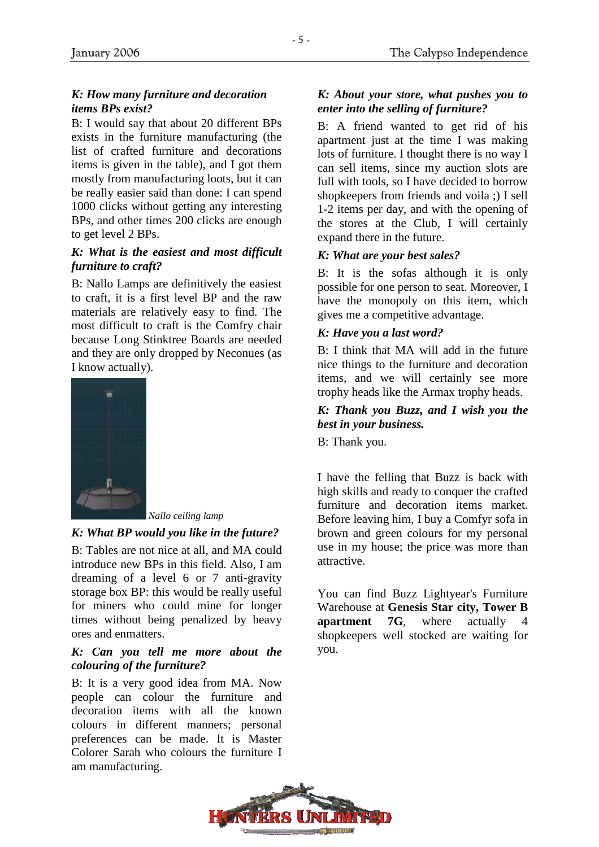#### *K: How many furniture and decoration items BPs exist?*

B: I would say that about 20 different BPs exists in the furniture manufacturing (the list of crafted furniture and decorations items is given in the table), and I got them mostly from manufacturing loots, but it can be really easier said than done: I can spend 1000 clicks without getting any interesting BPs, and other times 200 clicks are enough to get level 2 BPs.

#### *K: What is the easiest and most difficult furniture to craft?*

B: Nallo Lamps are definitively the easiest to craft, it is a first level BP and the raw materials are relatively easy to find. The most difficult to craft is the Comfry chair because Long Stinktree Boards are needed and they are only dropped by Neconues (as I know actually).



#### *Nallo ceiling lamp*

#### *K: What BP would you like in the future?*

B: Tables are not nice at all, and MA could introduce new BPs in this field. Also, I am dreaming of a level 6 or 7 anti-gravity storage box BP: this would be really useful for miners who could mine for longer times without being penalized by heavy ores and enmatters.

#### *K: Can you tell me more about the colouring of the furniture?*

B: It is a very good idea from MA. Now people can colour the furniture and decoration items with all the known colours in different manners; personal preferences can be made. It is Master Colorer Sarah who colours the furniture I am manufacturing.

#### *K: About your store, what pushes you to enter into the selling of furniture?*

B: A friend wanted to get rid of his apartment just at the time I was making lots of furniture. I thought there is no way I can sell items, since my auction slots are full with tools, so I have decided to borrow shopkeepers from friends and voila ;) I sell 1-2 items per day, and with the opening of the stores at the Club, I will certainly expand there in the future.

#### *K: What are your best sales?*

B: It is the sofas although it is only possible for one person to seat. Moreover, I have the monopoly on this item, which gives me a competitive advantage.

#### *K: Have you a last word?*

B: I think that MA will add in the future nice things to the furniture and decoration items, and we will certainly see more trophy heads like the Armax trophy heads.

*K: Thank you Buzz, and I wish you the best in your business.* 

B: Thank you.

I have the felling that Buzz is back with high skills and ready to conquer the crafted furniture and decoration items market. Before leaving him, I buy a Comfyr sofa in brown and green colours for my personal use in my house; the price was more than attractive.

You can find Buzz Lightyear's Furniture Warehouse at **Genesis Star city, Tower B apartment** 7G, where actually shopkeepers well stocked are waiting for you.

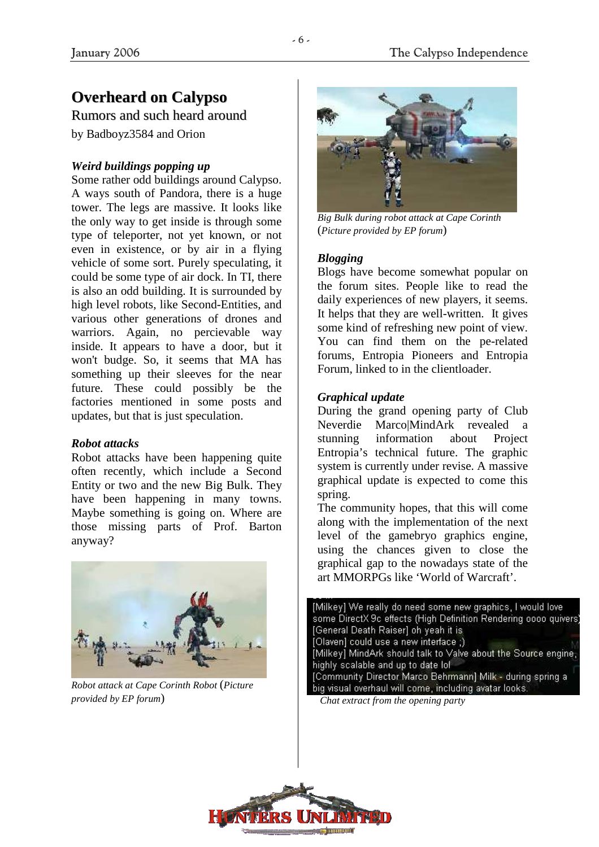# **Overheard on Calypso**

Rumors and such heard around

by Badboyz3584 and Orion

#### *Weird buildings popping up*

Some rather odd buildings around Calypso. A ways south of Pandora, there is a huge tower. The legs are massive. It looks like the only way to get inside is through some type of teleporter, not yet known, or not even in existence, or by air in a flying vehicle of some sort. Purely speculating, it could be some type of air dock. In TI, there is also an odd building. It is surrounded by high level robots, like Second-Entities, and various other generations of drones and warriors. Again, no percievable way inside. It appears to have a door, but it won't budge. So, it seems that MA has something up their sleeves for the near future. These could possibly be the factories mentioned in some posts and updates, but that is just speculation.

#### *Robot attacks*

Robot attacks have been happening quite often recently, which include a Second Entity or two and the new Big Bulk. They have been happening in many towns. Maybe something is going on. Where are those missing parts of Prof. Barton anyway?



*Robot attack at Cape Corinth Robot* (*Picture provided by EP forum*)



*Big Bulk during robot attack at Cape Corinth* (*Picture provided by EP forum*)

#### *Blogging*

Blogs have become somewhat popular on the forum sites. People like to read the daily experiences of new players, it seems. It helps that they are well-written. It gives some kind of refreshing new point of view. You can find them on the pe-related forums, Entropia Pioneers and Entropia Forum, linked to in the clientloader.

#### *Graphical update*

During the grand opening party of Club Neverdie Marco|MindArk revealed a stunning information about Project Entropia's technical future. The graphic system is currently under revise. A massive graphical update is expected to come this spring.

The community hopes, that this will come along with the implementation of the next level of the gamebryo graphics engine, using the chances given to close the graphical gap to the nowadays state of the art MMORPGs like 'World of Warcraft'.

| [Milkey] We really do need some new graphics, I would love       |
|------------------------------------------------------------------|
| some DirectX 9c effects (High Definition Rendering oooo quivers) |
| [General Death Raiser] oh yeah it is                             |
| (Olaven) could use a new interface ()                            |
| [Milkey] MindArk should talk to Valve about the Source engine,   |
| highly scalable and up to date lol                               |
| [Community Director Marco Behrmann] Milk - during spring a       |
| big visual overhaul will come, including avatar looks.           |
| Chat extract from the opening party                              |

 *Chat extract from the opening party* 

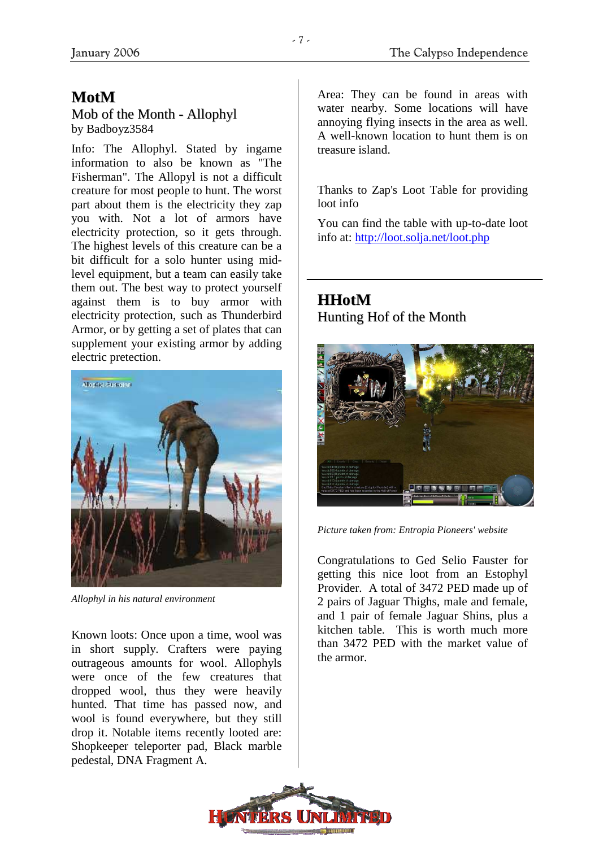# **MotM**

Mob of the Month - Allophyl by Badboyz3584

Info: The Allophyl. Stated by ingame information to also be known as "The Fisherman". The Allopyl is not a difficult creature for most people to hunt. The worst part about them is the electricity they zap you with. Not a lot of armors have electricity protection, so it gets through. The highest levels of this creature can be a bit difficult for a solo hunter using midlevel equipment, but a team can easily take them out. The best way to protect yourself against them is to buy armor with electricity protection, such as Thunderbird Armor, or by getting a set of plates that can supplement your existing armor by adding electric pretection.



*Allophyl in his natural environment* 

Known loots: Once upon a time, wool was in short supply. Crafters were paying outrageous amounts for wool. Allophyls were once of the few creatures that dropped wool, thus they were heavily hunted. That time has passed now, and wool is found everywhere, but they still drop it. Notable items recently looted are: Shopkeeper teleporter pad, Black marble pedestal, DNA Fragment A.

Area: They can be found in areas with water nearby. Some locations will have annoying flying insects in the area as well. A well-known location to hunt them is on treasure island.

Thanks to Zap's Loot Table for providing loot info

You can find the table with up-to-date loot info at: http://loot.solja.net/loot.php

## **HHotM** Hunting Hof of the Month



*Picture taken from: Entropia Pioneers' website* 

Congratulations to Ged Selio Fauster for getting this nice loot from an Estophyl Provider. A total of 3472 PED made up of 2 pairs of Jaguar Thighs, male and female, and 1 pair of female Jaguar Shins, plus a kitchen table. This is worth much more than 3472 PED with the market value of the armor.

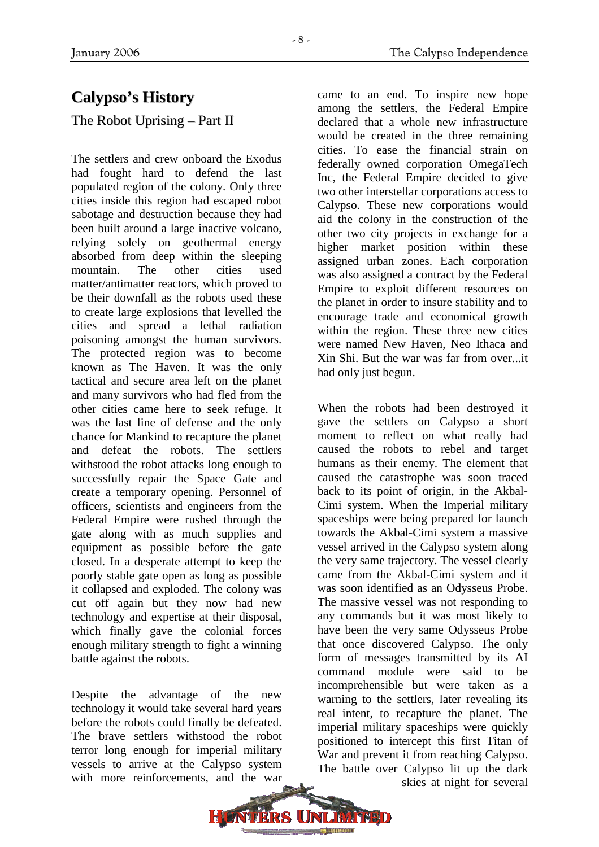# **Calypso's History**

#### The Robot Uprising – Part II

The settlers and crew onboard the Exodus had fought hard to defend the last populated region of the colony. Only three cities inside this region had escaped robot sabotage and destruction because they had been built around a large inactive volcano, relying solely on geothermal energy absorbed from deep within the sleeping mountain. The other cities used matter/antimatter reactors, which proved to be their downfall as the robots used these to create large explosions that levelled the cities and spread a lethal radiation poisoning amongst the human survivors. The protected region was to become known as The Haven. It was the only tactical and secure area left on the planet and many survivors who had fled from the other cities came here to seek refuge. It was the last line of defense and the only chance for Mankind to recapture the planet and defeat the robots. The settlers withstood the robot attacks long enough to successfully repair the Space Gate and create a temporary opening. Personnel of officers, scientists and engineers from the Federal Empire were rushed through the gate along with as much supplies and equipment as possible before the gate closed. In a desperate attempt to keep the poorly stable gate open as long as possible it collapsed and exploded. The colony was cut off again but they now had new technology and expertise at their disposal, which finally gave the colonial forces enough military strength to fight a winning battle against the robots.

Despite the advantage of the new technology it would take several hard years before the robots could finally be defeated. The brave settlers withstood the robot terror long enough for imperial military vessels to arrive at the Calypso system with more reinforcements, and the war

came to an end. To inspire new hope among the settlers, the Federal Empire declared that a whole new infrastructure would be created in the three remaining cities. To ease the financial strain on federally owned corporation OmegaTech Inc, the Federal Empire decided to give two other interstellar corporations access to Calypso. These new corporations would aid the colony in the construction of the other two city projects in exchange for a higher market position within these assigned urban zones. Each corporation was also assigned a contract by the Federal Empire to exploit different resources on the planet in order to insure stability and to encourage trade and economical growth within the region. These three new cities were named New Haven, Neo Ithaca and Xin Shi. But the war was far from over...it had only just begun.

When the robots had been destroyed it gave the settlers on Calypso a short moment to reflect on what really had caused the robots to rebel and target humans as their enemy. The element that caused the catastrophe was soon traced back to its point of origin, in the Akbal-Cimi system. When the Imperial military spaceships were being prepared for launch towards the Akbal-Cimi system a massive vessel arrived in the Calypso system along the very same trajectory. The vessel clearly came from the Akbal-Cimi system and it was soon identified as an Odysseus Probe. The massive vessel was not responding to any commands but it was most likely to have been the very same Odysseus Probe that once discovered Calypso. The only form of messages transmitted by its AI command module were said to be incomprehensible but were taken as a warning to the settlers, later revealing its real intent, to recapture the planet. The imperial military spaceships were quickly positioned to intercept this first Titan of War and prevent it from reaching Calypso. The battle over Calypso lit up the dark

skies at night for several